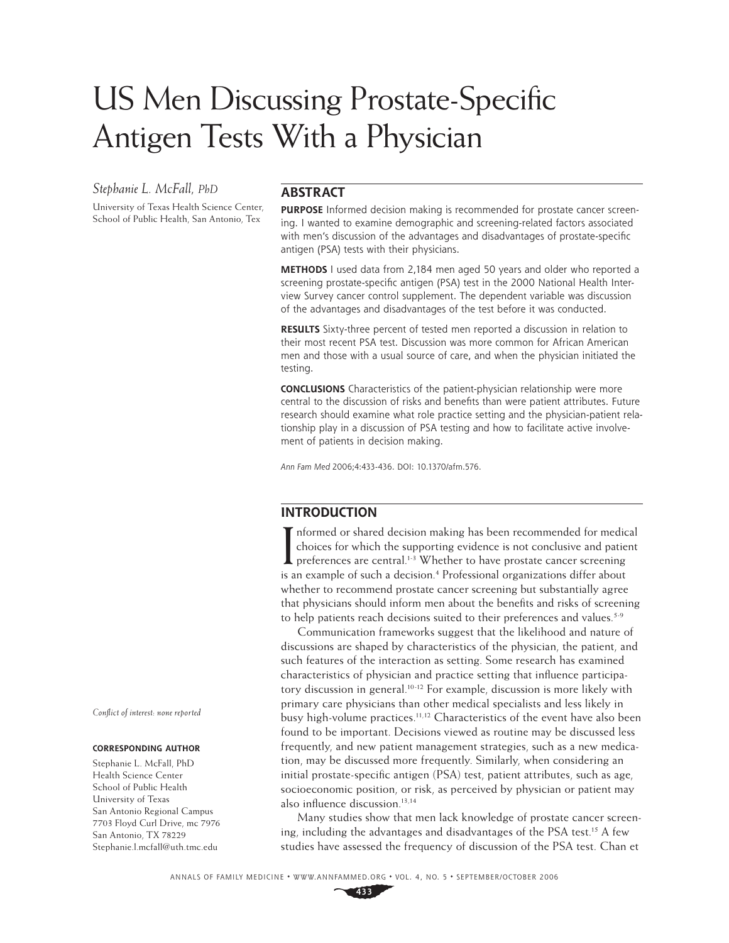# US Men Discussing Prostate-Specific Antigen Tests With a Physician

# *Stephanie L. McFall, PhD*

University of Texas Health Science Center, School of Public Health, San Antonio, Tex

## **ABSTRACT**

**PURPOSE** Informed decision making is recommended for prostate cancer screening. I wanted to examine demographic and screening-related factors associated with men's discussion of the advantages and disadvantages of prostate-specific antigen (PSA) tests with their physicians.

**METHODS** I used data from 2,184 men aged 50 years and older who reported a screening prostate-specific antigen (PSA) test in the 2000 National Health Interview Survey cancer control supplement. The dependent variable was discussion of the advantages and disadvantages of the test before it was conducted.

**RESULTS** Sixty-three percent of tested men reported a discussion in relation to their most recent PSA test. Discussion was more common for African American men and those with a usual source of care, and when the physician initiated the testing.

**CONCLUSIONS** Characteristics of the patient-physician relationship were more central to the discussion of risks and benefits than were patient attributes. Future research should examine what role practice setting and the physician-patient relationship play in a discussion of PSA testing and how to facilitate active involvement of patients in decision making.

Ann Fam Med 2006;4:433-436. DOI: 10.1370/afm.576.

## **INTRODUCTION**

I nformed or shared decision making has been recommended for medic<br>choices for which the supporting evidence is not conclusive and patie<br>preferences are central.<sup>1-3</sup> Whether to have prostate cancer screening<br>is an augmala nformed or shared decision making has been recommended for medical choices for which the supporting evidence is not conclusive and patient is an example of such a decision.<sup>4</sup> Professional organizations differ about whether to recommend prostate cancer screening but substantially agree that physicians should inform men about the benefits and risks of screening to help patients reach decisions suited to their preferences and values.<sup>5-9</sup>

Communication frameworks suggest that the likelihood and nature of discussions are shaped by characteristics of the physician, the patient, and such features of the interaction as setting. Some research has examined characteristics of physician and practice setting that influence participatory discussion in general.<sup>10-12</sup> For example, discussion is more likely with primary care physicians than other medical specialists and less likely in busy high-volume practices.<sup>11,12</sup> Characteristics of the event have also been found to be important. Decisions viewed as routine may be discussed less frequently, and new patient management strategies, such as a new medication, may be discussed more frequently. Similarly, when considering an initial prostate-specific antigen (PSA) test, patient attributes, such as age, socioeconomic position, or risk, as perceived by physician or patient may also influence discussion.<sup>13,14</sup>

Many studies show that men lack knowledge of prostate cancer screening, including the advantages and disadvantages of the PSA test.<sup>15</sup> A few studies have assessed the frequency of discussion of the PSA test. Chan et

ANNALS OF FAMILY MEDICINE ✦ WWW.ANNFAMMED.ORG ✦ VOL. 4, NO. 5 ✦ SEPTEMBER/OCTOBER 2006

*Confl ict of interest: none reported*

#### **CORRESPONDING AUTHOR**

Stephanie L. McFall, PhD Health Science Center School of Public Health University of Texas San Antonio Regional Campus 7703 Floyd Curl Drive, mc 7976 San Antonio, TX 78229 Stephanie.l.mcfall@uth.tmc.edu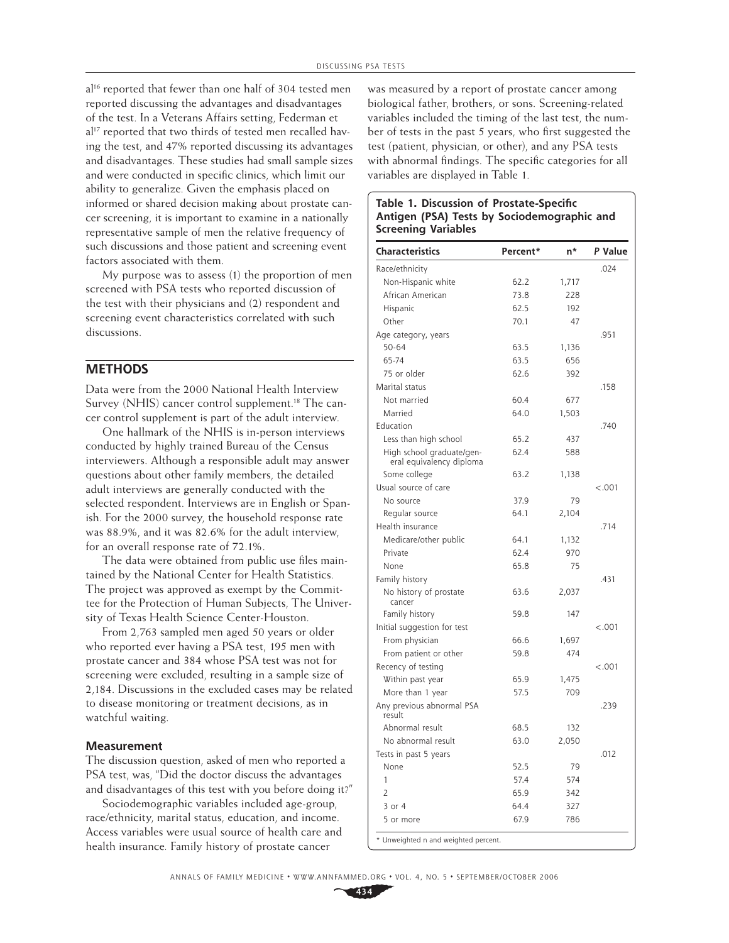al<sup>16</sup> reported that fewer than one half of 304 tested men reported discussing the advantages and disadvantages of the test. In a Veterans Affairs setting, Federman et al<sup>17</sup> reported that two thirds of tested men recalled having the test, and 47% reported discussing its advantages and disadvantages. These studies had small sample sizes and were conducted in specific clinics, which limit our ability to generalize. Given the emphasis placed on informed or shared decision making about prostate cancer screening, it is important to examine in a nationally representative sample of men the relative frequency of such discussions and those patient and screening event factors associated with them.

My purpose was to assess (1) the proportion of men screened with PSA tests who reported discussion of the test with their physicians and (2) respondent and screening event characteristics correlated with such discussions.

#### **METHODS**

Data were from the 2000 National Health Interview Survey (NHIS) cancer control supplement.<sup>18</sup> The cancer control supplement is part of the adult interview.

One hallmark of the NHIS is in-person interviews conducted by highly trained Bureau of the Census interviewers. Although a responsible adult may answer questions about other family members, the detailed adult interviews are generally conducted with the selected respondent. Interviews are in English or Spanish. For the 2000 survey, the household response rate was 88.9%, and it was 82.6% for the adult interview, for an overall response rate of 72.1%.

The data were obtained from public use files maintained by the National Center for Health Statistics. The project was approved as exempt by the Committee for the Protection of Human Subjects, The University of Texas Health Science Center-Houston.

From 2,763 sampled men aged 50 years or older who reported ever having a PSA test, 195 men with prostate cancer and 384 whose PSA test was not for screening were excluded, resulting in a sample size of 2,184. Discussions in the excluded cases may be related to disease monitoring or treatment decisions, as in watchful waiting.

#### **Measurement**

The discussion question, asked of men who reported a PSA test, was, "Did the doctor discuss the advantages and disadvantages of this test with you before doing it?"

Sociodemographic variables included age-group, race/ethnicity, marital status, education, and income. Access variables were usual source of health care and health insurance*.* Family history of prostate cancer

was measured by a report of prostate cancer among biological father, brothers, or sons. Screening-related variables included the timing of the last test, the number of tests in the past 5 years, who first suggested the test (patient, physician, or other), and any PSA tests with abnormal findings. The specific categories for all variables are displayed in Table 1.

**Table 1. Discussion of Prostate-Specific** 

| Characteristics                                       | Percent* | n*    | P Value |
|-------------------------------------------------------|----------|-------|---------|
| Race/ethnicity                                        |          |       | .024    |
| Non-Hispanic white                                    | 62.2     | 1,717 |         |
| African American                                      | 73.8     | 228   |         |
| Hispanic                                              | 62.5     | 192   |         |
| Other                                                 | 70.1     | 47    |         |
| Age category, years                                   |          |       | .951    |
| $50 - 64$                                             | 63.5     | 1,136 |         |
| 65-74                                                 | 63.5     | 656   |         |
| 75 or older                                           | 62.6     | 392   |         |
| Marital status                                        |          |       | .158    |
| Not married                                           | 60.4     | 677   |         |
| Married                                               | 64.0     | 1,503 |         |
| Education                                             |          |       | .740    |
| Less than high school                                 | 65.2     | 437   |         |
| High school graduate/gen-<br>eral equivalency diploma | 62.4     | 588   |         |
| Some college                                          | 63.2     | 1,138 |         |
| Usual source of care                                  |          |       | < .001  |
| No source                                             | 37.9     | 79    |         |
| Regular source                                        | 64.1     | 2,104 |         |
| Health insurance                                      |          |       | .714    |
| Medicare/other public                                 | 64.1     | 1,132 |         |
| Private                                               | 62.4     | 970   |         |
| None                                                  | 65.8     | 75    |         |
| Family history                                        |          |       | .431    |
| No history of prostate<br>cancer                      | 63.6     | 2,037 |         |
| Family history                                        | 59.8     | 147   |         |
| Initial suggestion for test                           |          |       | < .001  |
| From physician                                        | 66.6     | 1,697 |         |
| From patient or other                                 | 59.8     | 474   |         |
| Recency of testing                                    |          |       | < .001  |
| Within past year                                      | 65.9     | 1,475 |         |
| More than 1 year                                      | 57.5     | 709   |         |
| Any previous abnormal PSA<br>result                   |          |       | .239    |
| Abnormal result                                       | 68.5     | 132   |         |
| No abnormal result                                    | 63.0     | 2,050 |         |
| Tests in past 5 years                                 |          |       | .012    |
| None                                                  | 52.5     | 79    |         |
| 1                                                     | 57.4     | 574   |         |
| $\overline{2}$                                        | 65.9     | 342   |         |
| 3 or 4                                                | 64.4     | 327   |         |
| 5 or more                                             | 67.9     | 786   |         |

ANNALS OF FAMILY MEDICINE ✦ WWW.ANNFAMMED.ORG ✦ VOL. 4, NO. 5 ✦ SEPTEMBER/OCTOBER 2006

**434**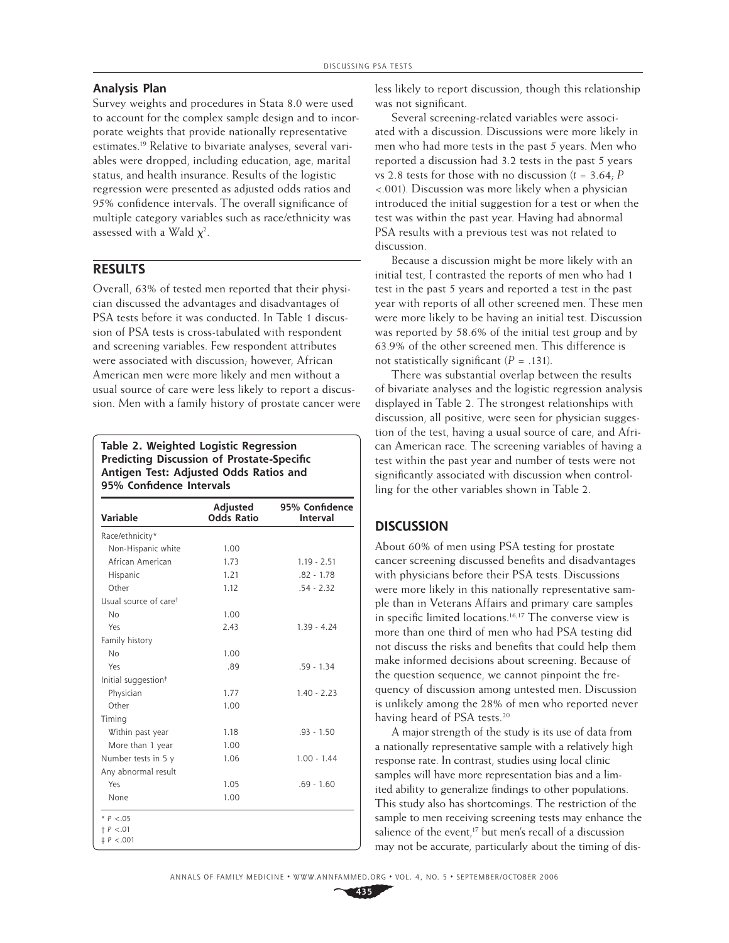#### **Analysis Plan**

Survey weights and procedures in Stata 8.0 were used to account for the complex sample design and to incorporate weights that provide nationally representative estimates.19 Relative to bivariate analyses, several variables were dropped, including education, age, marital status, and health insurance. Results of the logistic regression were presented as adjusted odds ratios and 95% confidence intervals. The overall significance of multiple category variables such as race/ethnicity was assessed with a Wald  $\chi^2$ .

# **RESULTS**

Overall, 63% of tested men reported that their physician discussed the advantages and disadvantages of PSA tests before it was conducted. In Table 1 discussion of PSA tests is cross-tabulated with respondent and screening variables. Few respondent attributes were associated with discussion; however, African American men were more likely and men without a usual source of care were less likely to report a discussion. Men with a family history of prostate cancer were

#### **Table 2. Weighted Logistic Regression Predicting Discussion of Prostate-Specific Antigen Test: Adjusted Odds Ratios and 95% Confidence Intervals**

| Variable                          | Adjusted<br><b>Odds Ratio</b> | 95% Confidence<br>Interval |
|-----------------------------------|-------------------------------|----------------------------|
| Race/ethnicity*                   |                               |                            |
| Non-Hispanic white                | 1.00                          |                            |
| African American                  | 1.73                          | $1.19 - 2.51$              |
| Hispanic                          | 1.21                          | $.82 - 1.78$               |
| Other                             | 1.12                          | $.54 - 2.32$               |
| Usual source of care <sup>t</sup> |                               |                            |
| No                                | 1.00                          |                            |
| Yes                               | 2.43                          | $1.39 - 4.24$              |
| Family history                    |                               |                            |
| No                                | 1.00                          |                            |
| Yes                               | .89                           | $.59 - 1.34$               |
| Initial suggestion <sup>#</sup>   |                               |                            |
| Physician                         | 1.77                          | $1.40 - 2.23$              |
| Other                             | 1.00                          |                            |
| Timing                            |                               |                            |
| Within past year                  | 1.18                          | $.93 - 1.50$               |
| More than 1 year                  | 1.00                          |                            |
| Number tests in 5 y               | 1.06                          | $1.00 - 1.44$              |
| Any abnormal result               |                               |                            |
| Yes                               | 1.05                          | $.69 - 1.60$               |
| None                              | 1.00                          |                            |
| * $P < .05$                       |                               |                            |
| $+ P < .01$<br>$\ddagger$ P <.001 |                               |                            |

less likely to report discussion, though this relationship was not significant.

Several screening-related variables were associated with a discussion. Discussions were more likely in men who had more tests in the past 5 years. Men who reported a discussion had 3.2 tests in the past 5 years vs 2.8 tests for those with no discussion (*t* = 3.64; *P*  <.001). Discussion was more likely when a physician introduced the initial suggestion for a test or when the test was within the past year. Having had abnormal PSA results with a previous test was not related to discussion.

Because a discussion might be more likely with an initial test, I contrasted the reports of men who had 1 test in the past 5 years and reported a test in the past year with reports of all other screened men. These men were more likely to be having an initial test. Discussion was reported by 58.6% of the initial test group and by 63.9% of the other screened men. This difference is not statistically significant  $(P = .131)$ .

There was substantial overlap between the results of bivariate analyses and the logistic regression analysis displayed in Table 2. The strongest relationships with discussion, all positive, were seen for physician suggestion of the test, having a usual source of care, and African American race. The screening variables of having a test within the past year and number of tests were not significantly associated with discussion when controlling for the other variables shown in Table 2.

## **DISCUSSION**

About 60% of men using PSA testing for prostate cancer screening discussed benefits and disadvantages with physicians before their PSA tests. Discussions were more likely in this nationally representative sample than in Veterans Affairs and primary care samples in specific limited locations.<sup>16,17</sup> The converse view is more than one third of men who had PSA testing did not discuss the risks and benefits that could help them make informed decisions about screening. Because of the question sequence, we cannot pinpoint the frequency of discussion among untested men. Discussion is unlikely among the 28% of men who reported never having heard of PSA tests.<sup>20</sup>

A major strength of the study is its use of data from a nationally representative sample with a relatively high response rate. In contrast, studies using local clinic samples will have more representation bias and a limited ability to generalize findings to other populations. This study also has shortcomings. The restriction of the sample to men receiving screening tests may enhance the salience of the event,<sup>17</sup> but men's recall of a discussion may not be accurate, particularly about the timing of dis-

**435**